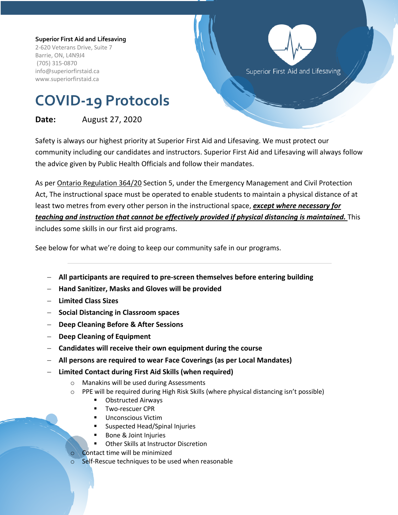#### **Superior First Aid and Lifesaving**

2-620 Veterans Drive, Suite 7 Barrie, ON, L4N9J4 (705) 315-0870 info@superiorfirstaid.ca www.superiorfirstaid.ca



# **COVID-19 Protocols**

## **Date:** August 27, 2020

Safety is always our highest priority at Superior First Aid and Lifesaving. We must protect our community including our candidates and instructors. Superior First Aid and Lifesaving will always follow the advice given by Public Health Officials and follow their mandates.

As per Ontario Regulation 364/20 Section 5, under the Emergency Management and Civil Protection Act, The instructional space must be operated to enable students to maintain a physical distance of at least two metres from every other person in the instructional space, *except where necessary for teaching and instruction that cannot be effectively provided if physical distancing is maintained.* This includes some skills in our first aid programs.

See below for what we're doing to keep our community safe in our programs.

- **All participants are required to pre-screen themselves before entering building**
- **Hand Sanitizer, Masks and Gloves will be provided**
- **Limited Class Sizes**
- **Social Distancing in Classroom spaces**
- **Deep Cleaning Before & After Sessions**
- **Deep Cleaning of Equipment**
- **Candidates will receive their own equipment during the course**
- **All persons are required to wear Face Coverings (as per Local Mandates)**
- **Limited Contact during First Aid Skills (when required)**
	- o Manakins will be used during Assessments
	- o PPE will be required during High Risk Skills (where physical distancing isn't possible)
		- Obstructed Airways
		- § Two-rescuer CPR
		- § Unconscious Victim
		- § Suspected Head/Spinal Injuries
		- Bone & Joint Injuries
		- Other Skills at Instructor Discretion
		- Contact time will be minimized
	- Self-Rescue techniques to be used when reasonable